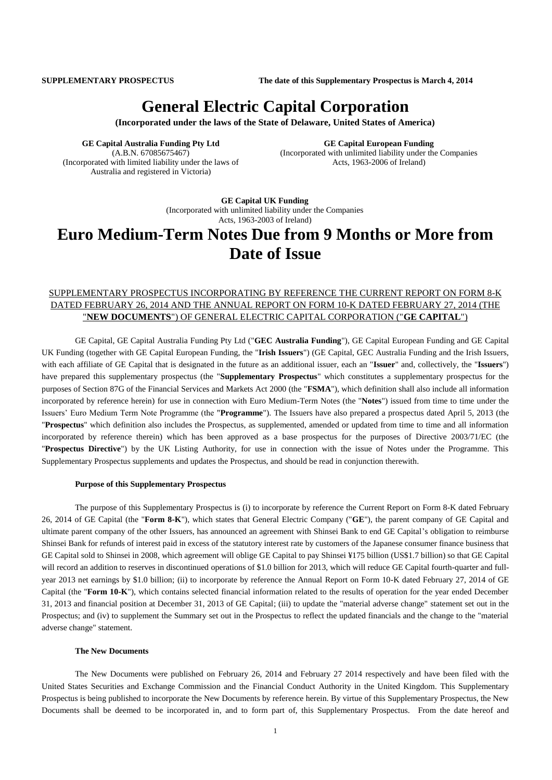**SUPPLEMENTARY PROSPECTUS The date of this Supplementary Prospectus is March 4, 2014**

# **General Electric Capital Corporation**

**(Incorporated under the laws of the State of Delaware, United States of America)**

**GE Capital Australia Funding Pty Ltd** (A.B.N. 67085675467) (Incorporated with limited liability under the laws of Australia and registered in Victoria)

**GE Capital European Funding** (Incorporated with unlimited liability under the Companies Acts, 1963-2006 of Ireland)

**GE Capital UK Funding** (Incorporated with unlimited liability under the Companies Acts, 1963-2003 of Ireland)

# **Euro Medium-Term Notes Due from 9 Months or More from Date of Issue**

## SUPPLEMENTARY PROSPECTUS INCORPORATING BY REFERENCE THE CURRENT REPORT ON FORM 8-K DATED FEBRUARY 26, 2014 AND THE ANNUAL REPORT ON FORM 10-K DATED FEBRUARY 27, 2014 (THE "**NEW DOCUMENTS**") OF GENERAL ELECTRIC CAPITAL CORPORATION ("**GE CAPITAL**")

GE Capital, GE Capital Australia Funding Pty Ltd ("**GEC Australia Funding**"), GE Capital European Funding and GE Capital UK Funding (together with GE Capital European Funding, the "**Irish Issuers**") (GE Capital, GEC Australia Funding and the Irish Issuers, with each affiliate of GE Capital that is designated in the future as an additional issuer, each an "**Issuer**" and, collectively, the "**Issuers**") have prepared this supplementary prospectus (the "**Supplementary Prospectus**" which constitutes a supplementary prospectus for the purposes of Section 87G of the Financial Services and Markets Act 2000 (the "**FSMA**"), which definition shall also include all information incorporated by reference herein) for use in connection with Euro Medium-Term Notes (the "**Notes**") issued from time to time under the Issuers' Euro Medium Term Note Programme (the "**Programme**"). The Issuers have also prepared a prospectus dated April 5, 2013 (the "**Prospectus**" which definition also includes the Prospectus, as supplemented, amended or updated from time to time and all information incorporated by reference therein) which has been approved as a base prospectus for the purposes of Directive 2003/71/EC (the "**Prospectus Directive**") by the UK Listing Authority, for use in connection with the issue of Notes under the Programme. This Supplementary Prospectus supplements and updates the Prospectus, and should be read in conjunction therewith.

#### **Purpose of this Supplementary Prospectus**

The purpose of this Supplementary Prospectus is (i) to incorporate by reference the Current Report on Form 8-K dated February 26, 2014 of GE Capital (the "**Form 8-K**"), which states that General Electric Company ("**GE**"), the parent company of GE Capital and ultimate parent company of the other Issuers, has announced an agreement with Shinsei Bank to end GE Capital's obligation to reimburse Shinsei Bank for refunds of interest paid in excess of the statutory interest rate by customers of the Japanese consumer finance business that GE Capital sold to Shinsei in 2008, which agreement will oblige GE Capital to pay Shinsei ¥175 billion (US\$1.7 billion) so that GE Capital will record an addition to reserves in discontinued operations of \$1.0 billion for 2013, which will reduce GE Capital fourth-quarter and fullyear 2013 net earnings by \$1.0 billion; (ii) to incorporate by reference the Annual Report on Form 10-K dated February 27, 2014 of GE Capital (the "**Form 10-K**"), which contains selected financial information related to the results of operation for the year ended December 31, 2013 and financial position at December 31, 2013 of GE Capital; (iii) to update the "material adverse change" statement set out in the Prospectus; and (iv) to supplement the Summary set out in the Prospectus to reflect the updated financials and the change to the "material adverse change" statement.

#### **The New Documents**

The New Documents were published on February 26, 2014 and February 27 2014 respectively and have been filed with the United States Securities and Exchange Commission and the Financial Conduct Authority in the United Kingdom. This Supplementary Prospectus is being published to incorporate the New Documents by reference herein. By virtue of this Supplementary Prospectus, the New Documents shall be deemed to be incorporated in, and to form part of, this Supplementary Prospectus. From the date hereof and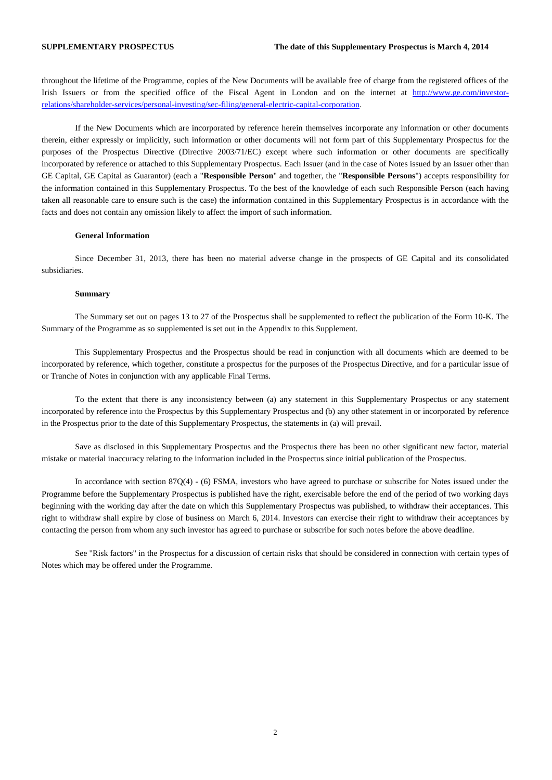throughout the lifetime of the Programme, copies of the New Documents will be available free of charge from the registered offices of the Irish Issuers or from the specified office of the Fiscal Agent in London and on the internet at [http://www.ge.com/investor](http://www.ge.com/investor-relations/shareholder-services/personal-investing/sec-filing/general-electric-capital-corporation)[relations/shareholder-services/personal-investing/sec-filing/general-electric-capital-corporation.](http://www.ge.com/investor-relations/shareholder-services/personal-investing/sec-filing/general-electric-capital-corporation)

If the New Documents which are incorporated by reference herein themselves incorporate any information or other documents therein, either expressly or implicitly, such information or other documents will not form part of this Supplementary Prospectus for the purposes of the Prospectus Directive (Directive 2003/71/EC) except where such information or other documents are specifically incorporated by reference or attached to this Supplementary Prospectus. Each Issuer (and in the case of Notes issued by an Issuer other than GE Capital, GE Capital as Guarantor) (each a "**Responsible Person**" and together, the "**Responsible Persons**") accepts responsibility for the information contained in this Supplementary Prospectus. To the best of the knowledge of each such Responsible Person (each having taken all reasonable care to ensure such is the case) the information contained in this Supplementary Prospectus is in accordance with the facts and does not contain any omission likely to affect the import of such information.

#### **General Information**

Since December 31, 2013, there has been no material adverse change in the prospects of GE Capital and its consolidated subsidiaries.

#### **Summary**

The Summary set out on pages 13 to 27 of the Prospectus shall be supplemented to reflect the publication of the Form 10-K. The Summary of the Programme as so supplemented is set out in the Appendix to this Supplement.

This Supplementary Prospectus and the Prospectus should be read in conjunction with all documents which are deemed to be incorporated by reference, which together, constitute a prospectus for the purposes of the Prospectus Directive, and for a particular issue of or Tranche of Notes in conjunction with any applicable Final Terms.

To the extent that there is any inconsistency between (a) any statement in this Supplementary Prospectus or any statement incorporated by reference into the Prospectus by this Supplementary Prospectus and (b) any other statement in or incorporated by reference in the Prospectus prior to the date of this Supplementary Prospectus, the statements in (a) will prevail.

Save as disclosed in this Supplementary Prospectus and the Prospectus there has been no other significant new factor, material mistake or material inaccuracy relating to the information included in the Prospectus since initial publication of the Prospectus.

In accordance with section 87Q(4) - (6) FSMA, investors who have agreed to purchase or subscribe for Notes issued under the Programme before the Supplementary Prospectus is published have the right, exercisable before the end of the period of two working days beginning with the working day after the date on which this Supplementary Prospectus was published, to withdraw their acceptances. This right to withdraw shall expire by close of business on March 6, 2014. Investors can exercise their right to withdraw their acceptances by contacting the person from whom any such investor has agreed to purchase or subscribe for such notes before the above deadline.

See "Risk factors" in the Prospectus for a discussion of certain risks that should be considered in connection with certain types of Notes which may be offered under the Programme.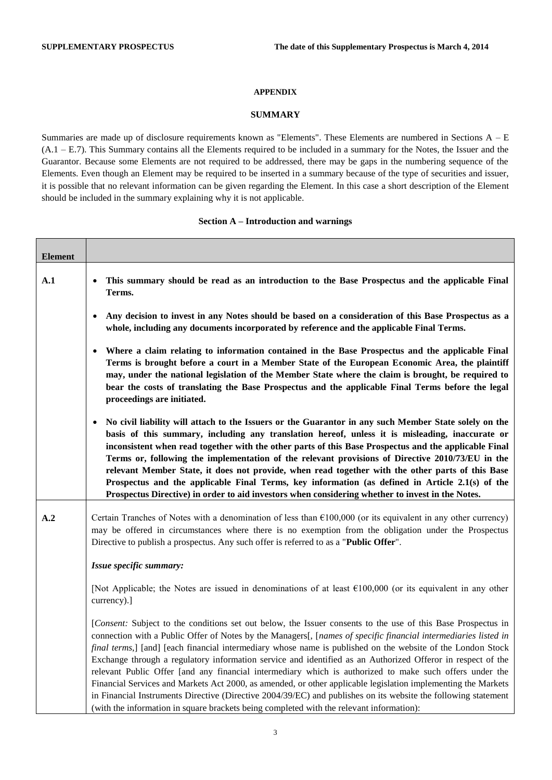#### **APPENDIX**

### **SUMMARY**

Summaries are made up of disclosure requirements known as "Elements". These Elements are numbered in Sections A – E (A.1 – E.7). This Summary contains all the Elements required to be included in a summary for the Notes, the Issuer and the Guarantor. Because some Elements are not required to be addressed, there may be gaps in the numbering sequence of the Elements. Even though an Element may be required to be inserted in a summary because of the type of securities and issuer, it is possible that no relevant information can be given regarding the Element. In this case a short description of the Element should be included in the summary explaining why it is not applicable.

#### **Section A – Introduction and warnings**

| <b>Element</b> |                                                                                                                                                                                                                                                                                                                                                                                                                                                                                                                                                                                                                                                                                                                                                                                                                                                                                                         |
|----------------|---------------------------------------------------------------------------------------------------------------------------------------------------------------------------------------------------------------------------------------------------------------------------------------------------------------------------------------------------------------------------------------------------------------------------------------------------------------------------------------------------------------------------------------------------------------------------------------------------------------------------------------------------------------------------------------------------------------------------------------------------------------------------------------------------------------------------------------------------------------------------------------------------------|
| A.1            | This summary should be read as an introduction to the Base Prospectus and the applicable Final<br>Terms.                                                                                                                                                                                                                                                                                                                                                                                                                                                                                                                                                                                                                                                                                                                                                                                                |
|                | Any decision to invest in any Notes should be based on a consideration of this Base Prospectus as a<br>whole, including any documents incorporated by reference and the applicable Final Terms.                                                                                                                                                                                                                                                                                                                                                                                                                                                                                                                                                                                                                                                                                                         |
|                | Where a claim relating to information contained in the Base Prospectus and the applicable Final<br>Terms is brought before a court in a Member State of the European Economic Area, the plaintiff<br>may, under the national legislation of the Member State where the claim is brought, be required to<br>bear the costs of translating the Base Prospectus and the applicable Final Terms before the legal<br>proceedings are initiated.                                                                                                                                                                                                                                                                                                                                                                                                                                                              |
|                | No civil liability will attach to the Issuers or the Guarantor in any such Member State solely on the<br>$\bullet$<br>basis of this summary, including any translation hereof, unless it is misleading, inaccurate or<br>inconsistent when read together with the other parts of this Base Prospectus and the applicable Final<br>Terms or, following the implementation of the relevant provisions of Directive 2010/73/EU in the<br>relevant Member State, it does not provide, when read together with the other parts of this Base<br>Prospectus and the applicable Final Terms, key information (as defined in Article 2.1(s) of the<br>Prospectus Directive) in order to aid investors when considering whether to invest in the Notes.                                                                                                                                                           |
| $\mathbf{A.2}$ | Certain Tranches of Notes with a denomination of less than $£100,000$ (or its equivalent in any other currency)<br>may be offered in circumstances where there is no exemption from the obligation under the Prospectus<br>Directive to publish a prospectus. Any such offer is referred to as a "Public Offer".                                                                                                                                                                                                                                                                                                                                                                                                                                                                                                                                                                                        |
|                | Issue specific summary:                                                                                                                                                                                                                                                                                                                                                                                                                                                                                                                                                                                                                                                                                                                                                                                                                                                                                 |
|                | [Not Applicable; the Notes are issued in denominations of at least $\epsilon$ 100,000 (or its equivalent in any other<br>currency).]                                                                                                                                                                                                                                                                                                                                                                                                                                                                                                                                                                                                                                                                                                                                                                    |
|                | [Consent: Subject to the conditions set out below, the Issuer consents to the use of this Base Prospectus in<br>connection with a Public Offer of Notes by the Managers[, [names of specific financial intermediaries listed in<br>final terms,] [and] [each financial intermediary whose name is published on the website of the London Stock<br>Exchange through a regulatory information service and identified as an Authorized Offeror in respect of the<br>relevant Public Offer [and any financial intermediary which is authorized to make such offers under the<br>Financial Services and Markets Act 2000, as amended, or other applicable legislation implementing the Markets<br>in Financial Instruments Directive (Directive 2004/39/EC) and publishes on its website the following statement<br>(with the information in square brackets being completed with the relevant information): |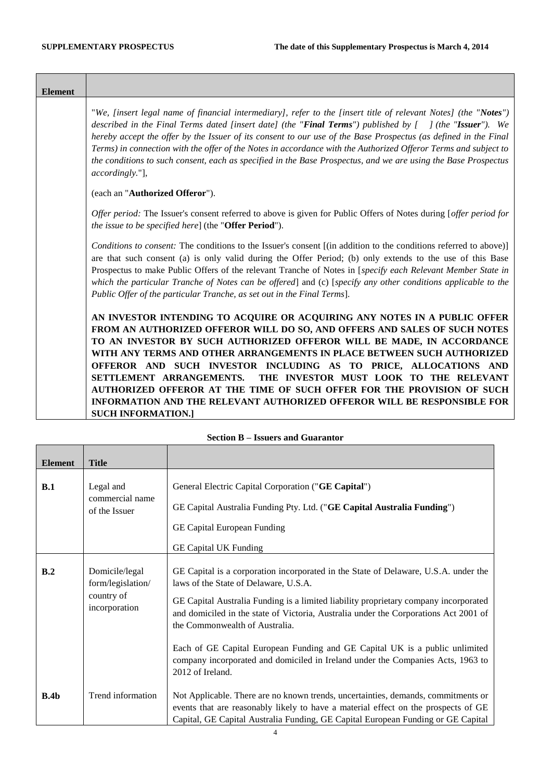Τ

 $\overline{\phantom{a}}$ 

| <b>Element</b> |                                                                                                                                                                                                                                                                                                                                                                                                                                                                                                                                                                                                                                       |
|----------------|---------------------------------------------------------------------------------------------------------------------------------------------------------------------------------------------------------------------------------------------------------------------------------------------------------------------------------------------------------------------------------------------------------------------------------------------------------------------------------------------------------------------------------------------------------------------------------------------------------------------------------------|
|                | "We, [insert legal name of financial intermediary], refer to the [insert title of relevant Notes] (the "Notes")<br>described in the Final Terms dated [insert date] (the "Final Terms") published by $\int$ (the "Issuer"). We<br>hereby accept the offer by the Issuer of its consent to our use of the Base Prospectus (as defined in the Final<br>Terms) in connection with the offer of the Notes in accordance with the Authorized Offeror Terms and subject to<br>the conditions to such consent, each as specified in the Base Prospectus, and we are using the Base Prospectus<br>accordingly."],                             |
|                | (each an "Authorized Offeror").                                                                                                                                                                                                                                                                                                                                                                                                                                                                                                                                                                                                       |
|                | Offer period: The Issuer's consent referred to above is given for Public Offers of Notes during [offer period for<br><i>the issue to be specified here</i> ] (the " <b>Offer Period</b> ").                                                                                                                                                                                                                                                                                                                                                                                                                                           |
|                | Conditions to consent: The conditions to the Issuer's consent [(in addition to the conditions referred to above)]<br>are that such consent (a) is only valid during the Offer Period; (b) only extends to the use of this Base<br>Prospectus to make Public Offers of the relevant Tranche of Notes in [specify each Relevant Member State in<br>which the particular Tranche of Notes can be offered] and (c) [specify any other conditions applicable to the<br>Public Offer of the particular Tranche, as set out in the Final Terms].                                                                                             |
|                | AN INVESTOR INTENDING TO ACQUIRE OR ACQUIRING ANY NOTES IN A PUBLIC OFFER<br>FROM AN AUTHORIZED OFFEROR WILL DO SO, AND OFFERS AND SALES OF SUCH NOTES<br>TO AN INVESTOR BY SUCH AUTHORIZED OFFEROR WILL BE MADE, IN ACCORDANCE<br>WITH ANY TERMS AND OTHER ARRANGEMENTS IN PLACE BETWEEN SUCH AUTHORIZED<br>OFFEROR AND SUCH INVESTOR INCLUDING AS TO PRICE, ALLOCATIONS AND<br>THE INVESTOR MUST LOOK TO THE RELEVANT<br>SETTLEMENT ARRANGEMENTS.<br>AUTHORIZED OFFEROR AT THE TIME OF SUCH OFFER FOR THE PROVISION OF SUCH<br>INFORMATION AND THE RELEVANT AUTHORIZED OFFEROR WILL BE RESPONSIBLE FOR<br><b>SUCH INFORMATION.1</b> |

<span id="page-3-0"></span>

| <b>Element</b> | <b>Title</b>                                                       |                                                                                                                                                                                                                                                                                                                                                                                                                                                                                                                                      |
|----------------|--------------------------------------------------------------------|--------------------------------------------------------------------------------------------------------------------------------------------------------------------------------------------------------------------------------------------------------------------------------------------------------------------------------------------------------------------------------------------------------------------------------------------------------------------------------------------------------------------------------------|
| B.1            | Legal and<br>commercial name<br>of the Issuer                      | General Electric Capital Corporation ("GE Capital")<br>GE Capital Australia Funding Pty. Ltd. ("GE Capital Australia Funding")<br>GE Capital European Funding<br><b>GE Capital UK Funding</b>                                                                                                                                                                                                                                                                                                                                        |
| B.2            | Domicile/legal<br>form/legislation/<br>country of<br>incorporation | GE Capital is a corporation incorporated in the State of Delaware, U.S.A. under the<br>laws of the State of Delaware, U.S.A.<br>GE Capital Australia Funding is a limited liability proprietary company incorporated<br>and domiciled in the state of Victoria, Australia under the Corporations Act 2001 of<br>the Commonwealth of Australia.<br>Each of GE Capital European Funding and GE Capital UK is a public unlimited<br>company incorporated and domiciled in Ireland under the Companies Acts, 1963 to<br>2012 of Ireland. |
| B.4b           | Trend information                                                  | Not Applicable. There are no known trends, uncertainties, demands, commitments or<br>events that are reasonably likely to have a material effect on the prospects of GE<br>Capital, GE Capital Australia Funding, GE Capital European Funding or GE Capital                                                                                                                                                                                                                                                                          |

# **Section B – Issuers and Guarantor**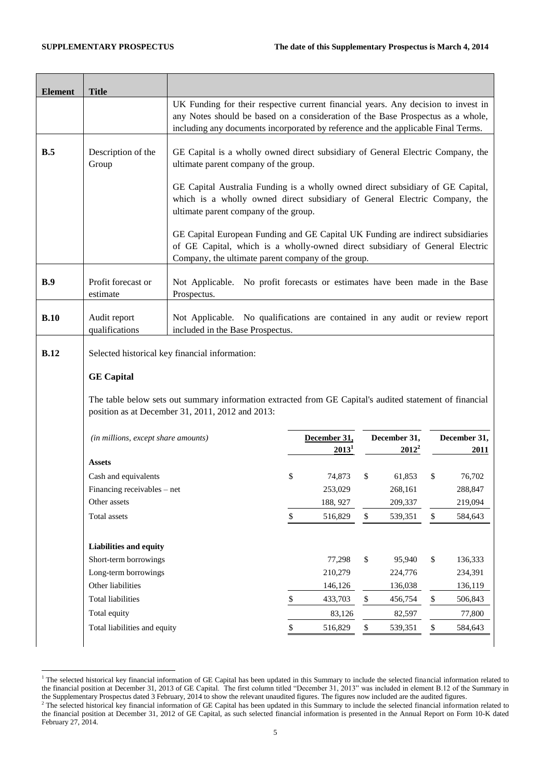1

February 27, 2014.

| <b>Element</b> | <b>Title</b>                                                                                                                                                          |                                                                                                                                                                                                                       |              |              |              |                          |      |                        |
|----------------|-----------------------------------------------------------------------------------------------------------------------------------------------------------------------|-----------------------------------------------------------------------------------------------------------------------------------------------------------------------------------------------------------------------|--------------|--------------|--------------|--------------------------|------|------------------------|
|                | UK Funding for their respective current financial years. Any decision to invest in<br>any Notes should be based on a consideration of the Base Prospectus as a whole, |                                                                                                                                                                                                                       |              |              |              |                          |      |                        |
|                |                                                                                                                                                                       | including any documents incorporated by reference and the applicable Final Terms.                                                                                                                                     |              |              |              |                          |      |                        |
| B.5            | Description of the<br>Group                                                                                                                                           | GE Capital is a wholly owned direct subsidiary of General Electric Company, the<br>ultimate parent company of the group.                                                                                              |              |              |              |                          |      |                        |
|                |                                                                                                                                                                       | GE Capital Australia Funding is a wholly owned direct subsidiary of GE Capital,<br>which is a wholly owned direct subsidiary of General Electric Company, the<br>ultimate parent company of the group.                |              |              |              |                          |      |                        |
|                |                                                                                                                                                                       | GE Capital European Funding and GE Capital UK Funding are indirect subsidiaries<br>of GE Capital, which is a wholly-owned direct subsidiary of General Electric<br>Company, the ultimate parent company of the group. |              |              |              |                          |      |                        |
| B.9            | Profit forecast or<br>estimate                                                                                                                                        | Not Applicable. No profit forecasts or estimates have been made in the Base<br>Prospectus.                                                                                                                            |              |              |              |                          |      |                        |
| B.10           | Audit report                                                                                                                                                          | Not Applicable. No qualifications are contained in any audit or review report<br>included in the Base Prospectus.                                                                                                     |              |              |              |                          |      |                        |
|                | qualifications                                                                                                                                                        |                                                                                                                                                                                                                       |              |              |              |                          |      |                        |
| B.12           |                                                                                                                                                                       | Selected historical key financial information:                                                                                                                                                                        |              |              |              |                          |      |                        |
|                | <b>GE</b> Capital                                                                                                                                                     |                                                                                                                                                                                                                       |              |              |              |                          |      |                        |
|                |                                                                                                                                                                       | The table below sets out summary information extracted from GE Capital's audited statement of financial<br>position as at December 31, 2011, 2012 and 2013:                                                           |              |              |              |                          |      |                        |
|                | (in millions, except share amounts)                                                                                                                                   |                                                                                                                                                                                                                       |              | December 31, |              | December 31,<br>$2012^2$ |      | 2011                   |
|                | Assets                                                                                                                                                                |                                                                                                                                                                                                                       |              | $2013^1$     |              |                          |      |                        |
|                | Cash and equivalents                                                                                                                                                  |                                                                                                                                                                                                                       | \$           | 74,873       | \$           | 61,853                   | \$   | 76,702                 |
|                | Financing receivables – net                                                                                                                                           |                                                                                                                                                                                                                       |              | 253,029      |              | 268,161                  |      | 288,847                |
|                | Other assets                                                                                                                                                          |                                                                                                                                                                                                                       |              | 188, 927     |              | 209,337                  |      | 219,094                |
|                | Total assets                                                                                                                                                          |                                                                                                                                                                                                                       | $\mathbb{S}$ | 516,829      | $\mathbb{S}$ | 539,351                  | $\$$ | 584,643                |
|                | Liabilities and equity                                                                                                                                                |                                                                                                                                                                                                                       |              |              |              |                          |      |                        |
|                | Short-term borrowings                                                                                                                                                 |                                                                                                                                                                                                                       |              | 77,298       | \$           | 95,940                   | \$   | 136,333                |
|                | Long-term borrowings                                                                                                                                                  |                                                                                                                                                                                                                       |              | 210,279      |              | 224,776                  |      | 234,391                |
|                | Other liabilities                                                                                                                                                     |                                                                                                                                                                                                                       |              | 146,126      |              | 136,038                  |      | 136,119                |
|                | Total liabilities                                                                                                                                                     |                                                                                                                                                                                                                       | \$           | 433,703      | $\$$         | 456,754                  | \$   | 506,843                |
|                | Total equity                                                                                                                                                          |                                                                                                                                                                                                                       |              | 83,126       |              | 82,597                   |      | December 31,<br>77,800 |

 $<sup>1</sup>$  The selected historical key financial information of GE Capital has been updated in this Summary to include the selected financial information related to</sup> the financial position at December 31, 2013 of GE Capital. The first column titled "December 31, 2013" was included in element B.12 of the Summary in the Supplementary Prospectus dated 3 February, 2014 to show the relevant unaudited figures. The figures now included are the audited figures.  $<sup>2</sup>$  The selected historical key financial information of GE Capital has been updated in this Summary to include the selected financial information related to</sup> the financial position at December 31, 2012 of GE Capital, as such selected financial information is presented in the Annual Report on Form 10-K dated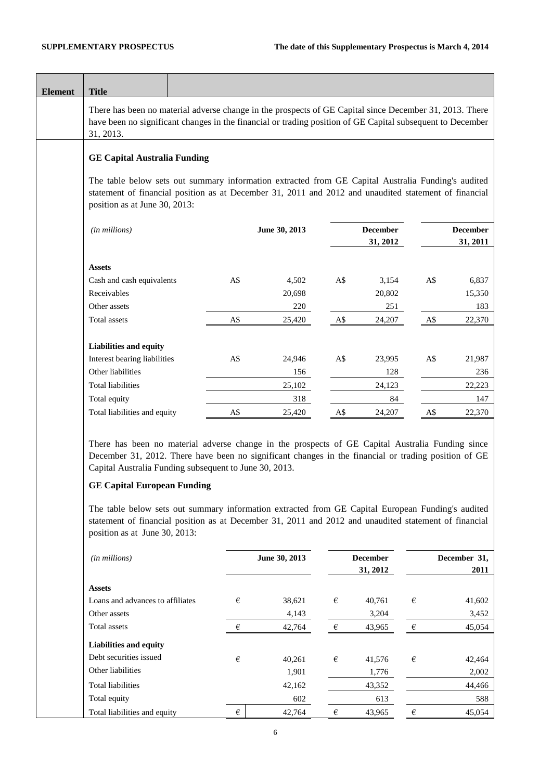J,

| <b>Element</b> | <b>Title</b>                                                                                                                                                                                                                                                                                                                                                                                                                                                                                                                                            |                         |               |                         |                 |                         |                 |
|----------------|---------------------------------------------------------------------------------------------------------------------------------------------------------------------------------------------------------------------------------------------------------------------------------------------------------------------------------------------------------------------------------------------------------------------------------------------------------------------------------------------------------------------------------------------------------|-------------------------|---------------|-------------------------|-----------------|-------------------------|-----------------|
|                | There has been no material adverse change in the prospects of GE Capital since December 31, 2013. There<br>have been no significant changes in the financial or trading position of GE Capital subsequent to December<br>31, 2013.                                                                                                                                                                                                                                                                                                                      |                         |               |                         |                 |                         |                 |
|                | <b>GE Capital Australia Funding</b>                                                                                                                                                                                                                                                                                                                                                                                                                                                                                                                     |                         |               |                         |                 |                         |                 |
|                | The table below sets out summary information extracted from GE Capital Australia Funding's audited<br>statement of financial position as at December 31, 2011 and 2012 and unaudited statement of financial<br>position as at June 30, 2013:                                                                                                                                                                                                                                                                                                            |                         |               |                         |                 |                         |                 |
|                | (in millions)                                                                                                                                                                                                                                                                                                                                                                                                                                                                                                                                           |                         | June 30, 2013 |                         | <b>December</b> |                         | <b>December</b> |
|                |                                                                                                                                                                                                                                                                                                                                                                                                                                                                                                                                                         |                         |               |                         | 31, 2012        |                         | 31, 2011        |
|                | <b>Assets</b>                                                                                                                                                                                                                                                                                                                                                                                                                                                                                                                                           |                         |               |                         |                 |                         |                 |
|                | Cash and cash equivalents                                                                                                                                                                                                                                                                                                                                                                                                                                                                                                                               | A\$                     | 4,502         | A\$                     | 3,154           | A\$                     | 6,837           |
|                | Receivables                                                                                                                                                                                                                                                                                                                                                                                                                                                                                                                                             |                         | 20,698        |                         | 20,802          |                         | 15,350          |
|                | Other assets                                                                                                                                                                                                                                                                                                                                                                                                                                                                                                                                            |                         | 220           |                         | 251             |                         | 183             |
|                | Total assets                                                                                                                                                                                                                                                                                                                                                                                                                                                                                                                                            | A\$                     | 25,420        | A\$                     | 24,207          | A\$                     | 22,370          |
|                |                                                                                                                                                                                                                                                                                                                                                                                                                                                                                                                                                         |                         |               |                         |                 |                         |                 |
|                | Liabilities and equity                                                                                                                                                                                                                                                                                                                                                                                                                                                                                                                                  |                         |               |                         |                 |                         |                 |
|                | Interest bearing liabilities                                                                                                                                                                                                                                                                                                                                                                                                                                                                                                                            | A\$                     | 24,946        | A\$                     | 23,995          | A\$                     | 21,987          |
|                | Other liabilities                                                                                                                                                                                                                                                                                                                                                                                                                                                                                                                                       |                         | 156           |                         | 128             |                         | 236             |
|                | <b>Total liabilities</b>                                                                                                                                                                                                                                                                                                                                                                                                                                                                                                                                |                         | 25,102        |                         | 24,123          |                         | 22,223          |
|                | Total equity                                                                                                                                                                                                                                                                                                                                                                                                                                                                                                                                            |                         | 318           |                         | 84              |                         | 147             |
|                | Total liabilities and equity                                                                                                                                                                                                                                                                                                                                                                                                                                                                                                                            | A\$                     | 25,420        | A\$                     | 24,207          | A\$                     | 22,370          |
|                | There has been no material adverse change in the prospects of GE Capital Australia Funding since<br>December 31, 2012. There have been no significant changes in the financial or trading position of GE<br>Capital Australia Funding subsequent to June 30, 2013.<br><b>GE Capital European Funding</b><br>The table below sets out summary information extracted from GE Capital European Funding's audited<br>statement of financial position as at December 31, 2011 and 2012 and unaudited statement of financial<br>position as at June 30, 2013: |                         |               |                         |                 |                         |                 |
|                | (in millions)                                                                                                                                                                                                                                                                                                                                                                                                                                                                                                                                           |                         | June 30, 2013 |                         | <b>December</b> |                         | December 31,    |
|                |                                                                                                                                                                                                                                                                                                                                                                                                                                                                                                                                                         |                         |               |                         | 31, 2012        |                         | 2011            |
|                | <b>Assets</b>                                                                                                                                                                                                                                                                                                                                                                                                                                                                                                                                           |                         |               |                         |                 |                         |                 |
|                | Loans and advances to affiliates                                                                                                                                                                                                                                                                                                                                                                                                                                                                                                                        | €                       | 38,621        | €                       | 40,761          | $\epsilon$              | 41,602          |
|                | Other assets                                                                                                                                                                                                                                                                                                                                                                                                                                                                                                                                            |                         | 4,143         |                         | 3,204           |                         | 3,452           |
|                | Total assets                                                                                                                                                                                                                                                                                                                                                                                                                                                                                                                                            | €                       | 42,764        | $\in$                   | 43,965          | €                       | 45,054          |
|                | Liabilities and equity                                                                                                                                                                                                                                                                                                                                                                                                                                                                                                                                  |                         |               |                         |                 |                         |                 |
|                | Debt securities issued                                                                                                                                                                                                                                                                                                                                                                                                                                                                                                                                  | $\boldsymbol{\epsilon}$ | 40,261        | $\boldsymbol{\epsilon}$ | 41,576          | $\boldsymbol{\epsilon}$ | 42,464          |
|                | Other liabilities                                                                                                                                                                                                                                                                                                                                                                                                                                                                                                                                       |                         | 1,901         |                         | 1,776           |                         | 2,002           |
|                | <b>Total liabilities</b>                                                                                                                                                                                                                                                                                                                                                                                                                                                                                                                                |                         | 42,162        |                         | 43,352          |                         | 44,466          |
|                | Total equity                                                                                                                                                                                                                                                                                                                                                                                                                                                                                                                                            |                         | 602           |                         | 613             |                         | 588             |
|                | Total liabilities and equity                                                                                                                                                                                                                                                                                                                                                                                                                                                                                                                            | €                       | 42,764        | €                       | 43,965          | €                       | 45,054          |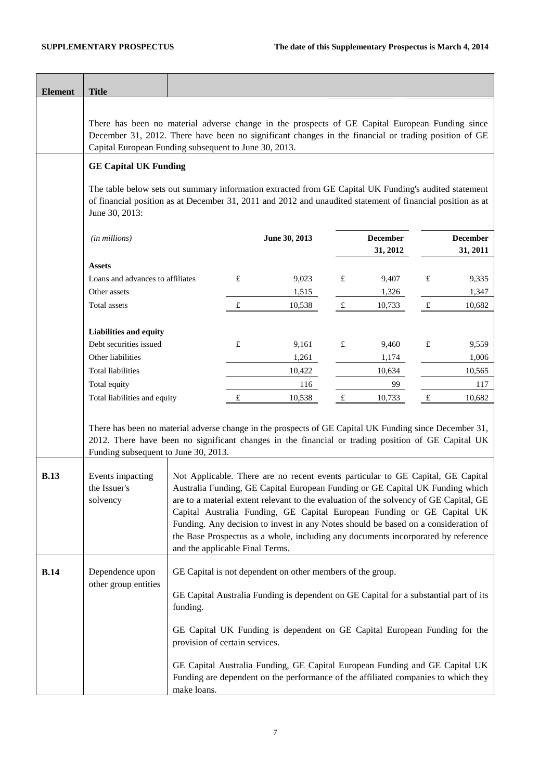| <b>Element</b> | <b>Title</b>                                                                                                                                                                                                                                                                                         |                                                                                                                                                                                                            |   |                                                                                                                                                                                                                                                                                                                                      |           |                             |           |                             |
|----------------|------------------------------------------------------------------------------------------------------------------------------------------------------------------------------------------------------------------------------------------------------------------------------------------------------|------------------------------------------------------------------------------------------------------------------------------------------------------------------------------------------------------------|---|--------------------------------------------------------------------------------------------------------------------------------------------------------------------------------------------------------------------------------------------------------------------------------------------------------------------------------------|-----------|-----------------------------|-----------|-----------------------------|
|                |                                                                                                                                                                                                                                                                                                      |                                                                                                                                                                                                            |   |                                                                                                                                                                                                                                                                                                                                      |           |                             |           |                             |
|                | There has been no material adverse change in the prospects of GE Capital European Funding since<br>December 31, 2012. There have been no significant changes in the financial or trading position of GE<br>Capital European Funding subsequent to June 30, 2013.                                     |                                                                                                                                                                                                            |   |                                                                                                                                                                                                                                                                                                                                      |           |                             |           |                             |
|                | <b>GE Capital UK Funding</b>                                                                                                                                                                                                                                                                         |                                                                                                                                                                                                            |   |                                                                                                                                                                                                                                                                                                                                      |           |                             |           |                             |
|                | The table below sets out summary information extracted from GE Capital UK Funding's audited statement<br>of financial position as at December 31, 2011 and 2012 and unaudited statement of financial position as at<br>June 30, 2013:                                                                |                                                                                                                                                                                                            |   |                                                                                                                                                                                                                                                                                                                                      |           |                             |           |                             |
|                | (in millions)                                                                                                                                                                                                                                                                                        |                                                                                                                                                                                                            |   | June 30, 2013                                                                                                                                                                                                                                                                                                                        |           | <b>December</b><br>31, 2012 |           | <b>December</b><br>31, 2011 |
|                | <b>Assets</b>                                                                                                                                                                                                                                                                                        |                                                                                                                                                                                                            |   |                                                                                                                                                                                                                                                                                                                                      |           |                             |           |                             |
|                | Loans and advances to affiliates                                                                                                                                                                                                                                                                     |                                                                                                                                                                                                            | £ | 9,023                                                                                                                                                                                                                                                                                                                                | £         | 9,407                       | £         | 9,335                       |
|                | Other assets                                                                                                                                                                                                                                                                                         |                                                                                                                                                                                                            |   | 1,515                                                                                                                                                                                                                                                                                                                                |           | 1,326                       |           | 1,347                       |
|                | Total assets                                                                                                                                                                                                                                                                                         |                                                                                                                                                                                                            | £ | 10,538                                                                                                                                                                                                                                                                                                                               | £         | 10,733                      | £         | 10,682                      |
|                | Liabilities and equity                                                                                                                                                                                                                                                                               |                                                                                                                                                                                                            |   |                                                                                                                                                                                                                                                                                                                                      |           |                             |           |                             |
|                | Debt securities issued                                                                                                                                                                                                                                                                               |                                                                                                                                                                                                            | £ | 9,161                                                                                                                                                                                                                                                                                                                                | £         | 9,460                       | $\pounds$ | 9,559                       |
|                | Other liabilities                                                                                                                                                                                                                                                                                    |                                                                                                                                                                                                            |   | 1,261                                                                                                                                                                                                                                                                                                                                |           | 1,174                       |           | 1,006                       |
|                | <b>Total liabilities</b>                                                                                                                                                                                                                                                                             |                                                                                                                                                                                                            |   | 10,422                                                                                                                                                                                                                                                                                                                               |           | 10,634                      |           | 10,565                      |
|                | Total equity                                                                                                                                                                                                                                                                                         |                                                                                                                                                                                                            |   | 116                                                                                                                                                                                                                                                                                                                                  |           | 99                          |           | 117                         |
|                | Total liabilities and equity                                                                                                                                                                                                                                                                         |                                                                                                                                                                                                            | £ | 10,538                                                                                                                                                                                                                                                                                                                               | $\pounds$ | 10,733                      | $\pounds$ | 10,682                      |
| <b>B.13</b>    | There has been no material adverse change in the prospects of GE Capital UK Funding since December 31,<br>2012. There have been no significant changes in the financial or trading position of GE Capital UK<br>Funding subsequent to June 30, 2013.<br>Events impacting<br>the Issuer's<br>solvency |                                                                                                                                                                                                            |   | Not Applicable. There are no recent events particular to GE Capital, GE Capital<br>Australia Funding, GE Capital European Funding or GE Capital UK Funding which<br>are to a material extent relevant to the evaluation of the solvency of GE Capital, GE<br>Capital Australia Funding, GE Capital European Funding or GE Capital UK |           |                             |           |                             |
|                |                                                                                                                                                                                                                                                                                                      | Funding. Any decision to invest in any Notes should be based on a consideration of<br>the Base Prospectus as a whole, including any documents incorporated by reference<br>and the applicable Final Terms. |   |                                                                                                                                                                                                                                                                                                                                      |           |                             |           |                             |
| B.14           | Dependence upon                                                                                                                                                                                                                                                                                      |                                                                                                                                                                                                            |   | GE Capital is not dependent on other members of the group.                                                                                                                                                                                                                                                                           |           |                             |           |                             |
|                | other group entities                                                                                                                                                                                                                                                                                 | funding.                                                                                                                                                                                                   |   | GE Capital Australia Funding is dependent on GE Capital for a substantial part of its                                                                                                                                                                                                                                                |           |                             |           |                             |
|                |                                                                                                                                                                                                                                                                                                      | provision of certain services.                                                                                                                                                                             |   | GE Capital UK Funding is dependent on GE Capital European Funding for the                                                                                                                                                                                                                                                            |           |                             |           |                             |
|                |                                                                                                                                                                                                                                                                                                      | make loans.                                                                                                                                                                                                |   | GE Capital Australia Funding, GE Capital European Funding and GE Capital UK<br>Funding are dependent on the performance of the affiliated companies to which they                                                                                                                                                                    |           |                             |           |                             |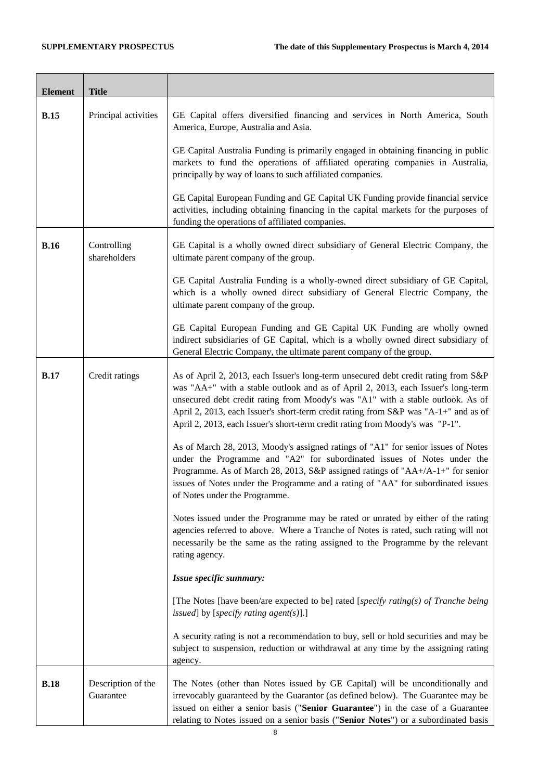| <b>Element</b> | <b>Title</b>                    |                                                                                                                                                                                                                                                                                                                                                                                                                                   |
|----------------|---------------------------------|-----------------------------------------------------------------------------------------------------------------------------------------------------------------------------------------------------------------------------------------------------------------------------------------------------------------------------------------------------------------------------------------------------------------------------------|
| <b>B.15</b>    | Principal activities            | GE Capital offers diversified financing and services in North America, South<br>America, Europe, Australia and Asia.                                                                                                                                                                                                                                                                                                              |
|                |                                 | GE Capital Australia Funding is primarily engaged in obtaining financing in public<br>markets to fund the operations of affiliated operating companies in Australia,<br>principally by way of loans to such affiliated companies.                                                                                                                                                                                                 |
|                |                                 | GE Capital European Funding and GE Capital UK Funding provide financial service<br>activities, including obtaining financing in the capital markets for the purposes of<br>funding the operations of affiliated companies.                                                                                                                                                                                                        |
| <b>B.16</b>    | Controlling<br>shareholders     | GE Capital is a wholly owned direct subsidiary of General Electric Company, the<br>ultimate parent company of the group.                                                                                                                                                                                                                                                                                                          |
|                |                                 | GE Capital Australia Funding is a wholly-owned direct subsidiary of GE Capital,<br>which is a wholly owned direct subsidiary of General Electric Company, the<br>ultimate parent company of the group.                                                                                                                                                                                                                            |
|                |                                 | GE Capital European Funding and GE Capital UK Funding are wholly owned<br>indirect subsidiaries of GE Capital, which is a wholly owned direct subsidiary of<br>General Electric Company, the ultimate parent company of the group.                                                                                                                                                                                                |
| <b>B.17</b>    | Credit ratings                  | As of April 2, 2013, each Issuer's long-term unsecured debt credit rating from S&P<br>was "AA+" with a stable outlook and as of April 2, 2013, each Issuer's long-term<br>unsecured debt credit rating from Moody's was "A1" with a stable outlook. As of<br>April 2, 2013, each Issuer's short-term credit rating from S&P was "A-1+" and as of<br>April 2, 2013, each Issuer's short-term credit rating from Moody's was "P-1". |
|                |                                 | As of March 28, 2013, Moody's assigned ratings of "A1" for senior issues of Notes<br>under the Programme and "A2" for subordinated issues of Notes under the<br>Programme. As of March 28, 2013, S&P assigned ratings of "AA+/A-1+" for senior<br>issues of Notes under the Programme and a rating of "AA" for subordinated issues<br>of Notes under the Programme.                                                               |
|                |                                 | Notes issued under the Programme may be rated or unrated by either of the rating<br>agencies referred to above. Where a Tranche of Notes is rated, such rating will not<br>necessarily be the same as the rating assigned to the Programme by the relevant<br>rating agency.                                                                                                                                                      |
|                |                                 | Issue specific summary:                                                                                                                                                                                                                                                                                                                                                                                                           |
|                |                                 | [The Notes [have been/are expected to be] rated [specify rating(s) of Tranche being<br>issued] by [specify rating agent(s)].]                                                                                                                                                                                                                                                                                                     |
|                |                                 | A security rating is not a recommendation to buy, sell or hold securities and may be<br>subject to suspension, reduction or withdrawal at any time by the assigning rating<br>agency.                                                                                                                                                                                                                                             |
| <b>B.18</b>    | Description of the<br>Guarantee | The Notes (other than Notes issued by GE Capital) will be unconditionally and<br>irrevocably guaranteed by the Guarantor (as defined below). The Guarantee may be<br>issued on either a senior basis ("Senior Guarantee") in the case of a Guarantee<br>relating to Notes issued on a senior basis ("Senior Notes") or a subordinated basis                                                                                       |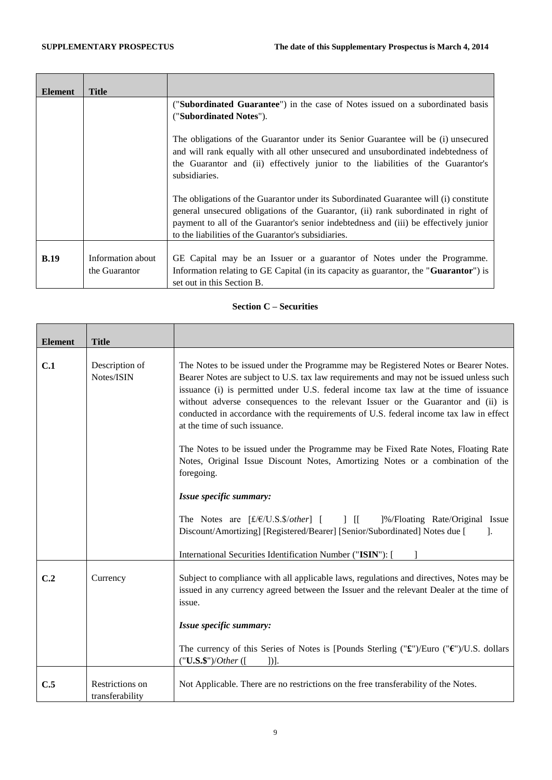|                   | (" <b>Subordinated Guarantee</b> ") in the case of Notes issued on a subordinated basis        |
|-------------------|------------------------------------------------------------------------------------------------|
|                   | ("Subordinated Notes").                                                                        |
|                   |                                                                                                |
|                   | The obligations of the Guarantor under its Senior Guarantee will be (i) unsecured              |
|                   | and will rank equally with all other unsecured and unsubordinated indebtedness of              |
|                   |                                                                                                |
|                   | the Guarantor and (ii) effectively junior to the liabilities of the Guarantor's                |
|                   | subsidiaries.                                                                                  |
|                   |                                                                                                |
|                   | The obligations of the Guarantor under its Subordinated Guarantee will (i) constitute          |
|                   | general unsecured obligations of the Guarantor, (ii) rank subordinated in right of             |
|                   | payment to all of the Guarantor's senior indebtedness and (iii) be effectively junior          |
|                   | to the liabilities of the Guarantor's subsidiaries.                                            |
|                   |                                                                                                |
|                   |                                                                                                |
| Information about | GE Capital may be an Issuer or a guarantor of Notes under the Programme.                       |
| the Guarantor     | Information relating to GE Capital (in its capacity as guarantor, the " <b>Guarantor</b> ") is |
|                   | set out in this Section B.                                                                     |
|                   | <b>Title</b>                                                                                   |

## **Section C – Securities**

| <b>Element</b>  | <b>Title</b>                       |                                                                                                                                                                                                                                                                                                                                                                                                                                                                                      |
|-----------------|------------------------------------|--------------------------------------------------------------------------------------------------------------------------------------------------------------------------------------------------------------------------------------------------------------------------------------------------------------------------------------------------------------------------------------------------------------------------------------------------------------------------------------|
|                 |                                    |                                                                                                                                                                                                                                                                                                                                                                                                                                                                                      |
| C.1             | Description of<br>Notes/ISIN       | The Notes to be issued under the Programme may be Registered Notes or Bearer Notes.<br>Bearer Notes are subject to U.S. tax law requirements and may not be issued unless such<br>issuance (i) is permitted under U.S. federal income tax law at the time of issuance<br>without adverse consequences to the relevant Issuer or the Guarantor and (ii) is<br>conducted in accordance with the requirements of U.S. federal income tax law in effect<br>at the time of such issuance. |
|                 |                                    | The Notes to be issued under the Programme may be Fixed Rate Notes, Floating Rate<br>Notes, Original Issue Discount Notes, Amortizing Notes or a combination of the<br>foregoing.                                                                                                                                                                                                                                                                                                    |
|                 |                                    | Issue specific summary:                                                                                                                                                                                                                                                                                                                                                                                                                                                              |
|                 |                                    | The Notes are $[f/E/U.S.5/other]$ [ ] [ ]%/Floating Rate/Original Issue<br>Discount/Amortizing] [Registered/Bearer] [Senior/Subordinated] Notes due [<br>1.                                                                                                                                                                                                                                                                                                                          |
|                 |                                    | International Securities Identification Number ("ISIN"): [                                                                                                                                                                                                                                                                                                                                                                                                                           |
| C <sub>.2</sub> | Currency                           | Subject to compliance with all applicable laws, regulations and directives, Notes may be<br>issued in any currency agreed between the Issuer and the relevant Dealer at the time of<br>issue.                                                                                                                                                                                                                                                                                        |
|                 |                                    | Issue specific summary:                                                                                                                                                                                                                                                                                                                                                                                                                                                              |
|                 |                                    | The currency of this Series of Notes is [Pounds Sterling (" $\mathbf{\hat{x}}$ ")/Euro (" $\mathbf{\hat{y}}$ ")/U.S. dollars<br>$("U.S.\$ {S}))/Other (<br>D1.                                                                                                                                                                                                                                                                                                                       |
| C.5             | Restrictions on<br>transferability | Not Applicable. There are no restrictions on the free transferability of the Notes.                                                                                                                                                                                                                                                                                                                                                                                                  |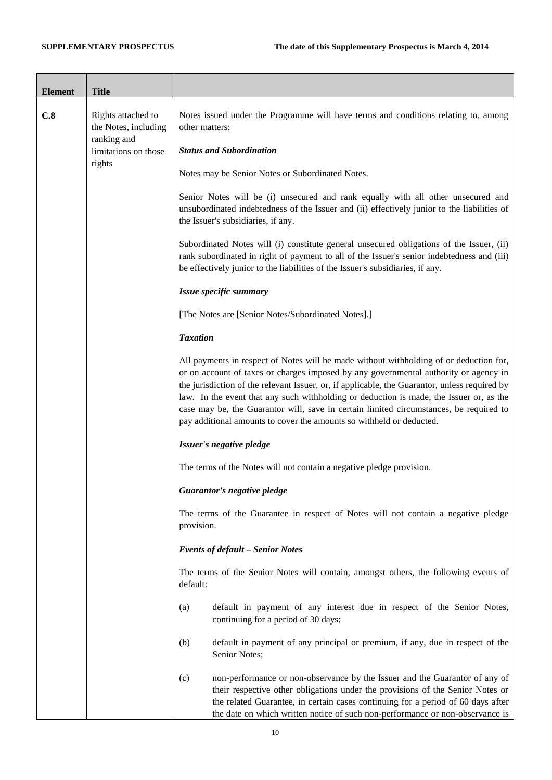| <b>Element</b> | <b>Title</b>                                              |                                                                                                                                                                                                                                                                                                                                                                                                                                                                                                                                              |
|----------------|-----------------------------------------------------------|----------------------------------------------------------------------------------------------------------------------------------------------------------------------------------------------------------------------------------------------------------------------------------------------------------------------------------------------------------------------------------------------------------------------------------------------------------------------------------------------------------------------------------------------|
|                |                                                           |                                                                                                                                                                                                                                                                                                                                                                                                                                                                                                                                              |
| C.8            | Rights attached to<br>the Notes, including<br>ranking and | Notes issued under the Programme will have terms and conditions relating to, among<br>other matters:                                                                                                                                                                                                                                                                                                                                                                                                                                         |
|                | limitations on those<br>rights                            | <b>Status and Subordination</b>                                                                                                                                                                                                                                                                                                                                                                                                                                                                                                              |
|                |                                                           | Notes may be Senior Notes or Subordinated Notes.                                                                                                                                                                                                                                                                                                                                                                                                                                                                                             |
|                |                                                           | Senior Notes will be (i) unsecured and rank equally with all other unsecured and<br>unsubordinated indebtedness of the Issuer and (ii) effectively junior to the liabilities of<br>the Issuer's subsidiaries, if any.                                                                                                                                                                                                                                                                                                                        |
|                |                                                           | Subordinated Notes will (i) constitute general unsecured obligations of the Issuer, (ii)<br>rank subordinated in right of payment to all of the Issuer's senior indebtedness and (iii)<br>be effectively junior to the liabilities of the Issuer's subsidiaries, if any.                                                                                                                                                                                                                                                                     |
|                |                                                           | Issue specific summary                                                                                                                                                                                                                                                                                                                                                                                                                                                                                                                       |
|                |                                                           | [The Notes are [Senior Notes/Subordinated Notes].]                                                                                                                                                                                                                                                                                                                                                                                                                                                                                           |
|                |                                                           | <b>Taxation</b>                                                                                                                                                                                                                                                                                                                                                                                                                                                                                                                              |
|                |                                                           | All payments in respect of Notes will be made without withholding of or deduction for,<br>or on account of taxes or charges imposed by any governmental authority or agency in<br>the jurisdiction of the relevant Issuer, or, if applicable, the Guarantor, unless required by<br>law. In the event that any such withholding or deduction is made, the Issuer or, as the<br>case may be, the Guarantor will, save in certain limited circumstances, be required to<br>pay additional amounts to cover the amounts so withheld or deducted. |
|                |                                                           | Issuer's negative pledge                                                                                                                                                                                                                                                                                                                                                                                                                                                                                                                     |
|                |                                                           | The terms of the Notes will not contain a negative pledge provision.                                                                                                                                                                                                                                                                                                                                                                                                                                                                         |
|                |                                                           | Guarantor's negative pledge                                                                                                                                                                                                                                                                                                                                                                                                                                                                                                                  |
|                |                                                           | The terms of the Guarantee in respect of Notes will not contain a negative pledge<br>provision.                                                                                                                                                                                                                                                                                                                                                                                                                                              |
|                |                                                           | <b>Events of default - Senior Notes</b>                                                                                                                                                                                                                                                                                                                                                                                                                                                                                                      |
|                |                                                           | The terms of the Senior Notes will contain, amongst others, the following events of<br>default:                                                                                                                                                                                                                                                                                                                                                                                                                                              |
|                |                                                           | (a)<br>default in payment of any interest due in respect of the Senior Notes,<br>continuing for a period of 30 days;                                                                                                                                                                                                                                                                                                                                                                                                                         |
|                |                                                           | (b)<br>default in payment of any principal or premium, if any, due in respect of the<br>Senior Notes;                                                                                                                                                                                                                                                                                                                                                                                                                                        |
|                |                                                           | (c)<br>non-performance or non-observance by the Issuer and the Guarantor of any of<br>their respective other obligations under the provisions of the Senior Notes or<br>the related Guarantee, in certain cases continuing for a period of 60 days after<br>the date on which written notice of such non-performance or non-observance is                                                                                                                                                                                                    |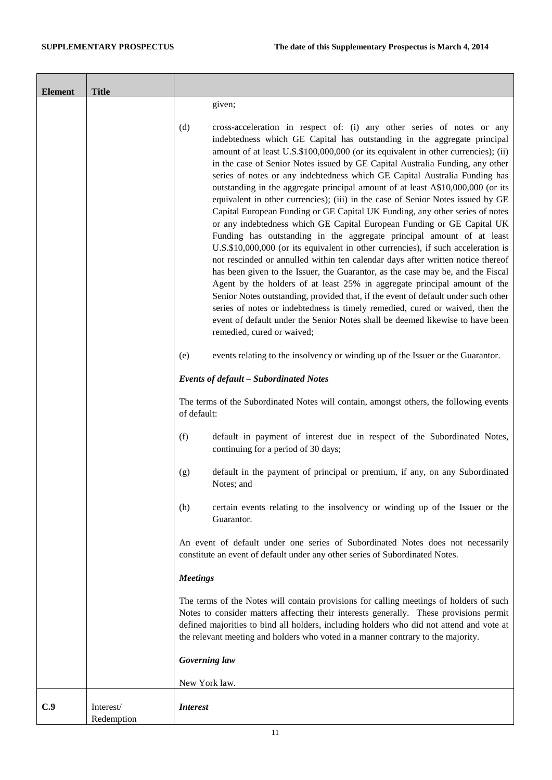| <b>Element</b> | <b>Title</b>            |                                                                                                                                                                                                                                                                                                                                                                                                                                                                                                                                                                                                                                                                                                                                                                                                                                                                                                                                                                                                                                                                                                                                                                                                                                                                                                                                                                                                                                                      |
|----------------|-------------------------|------------------------------------------------------------------------------------------------------------------------------------------------------------------------------------------------------------------------------------------------------------------------------------------------------------------------------------------------------------------------------------------------------------------------------------------------------------------------------------------------------------------------------------------------------------------------------------------------------------------------------------------------------------------------------------------------------------------------------------------------------------------------------------------------------------------------------------------------------------------------------------------------------------------------------------------------------------------------------------------------------------------------------------------------------------------------------------------------------------------------------------------------------------------------------------------------------------------------------------------------------------------------------------------------------------------------------------------------------------------------------------------------------------------------------------------------------|
|                |                         | given;                                                                                                                                                                                                                                                                                                                                                                                                                                                                                                                                                                                                                                                                                                                                                                                                                                                                                                                                                                                                                                                                                                                                                                                                                                                                                                                                                                                                                                               |
|                |                         | (d)<br>cross-acceleration in respect of: (i) any other series of notes or any<br>indebtedness which GE Capital has outstanding in the aggregate principal<br>amount of at least U.S.\$100,000,000 (or its equivalent in other currencies); (ii)<br>in the case of Senior Notes issued by GE Capital Australia Funding, any other<br>series of notes or any indebtedness which GE Capital Australia Funding has<br>outstanding in the aggregate principal amount of at least A\$10,000,000 (or its<br>equivalent in other currencies); (iii) in the case of Senior Notes issued by GE<br>Capital European Funding or GE Capital UK Funding, any other series of notes<br>or any indebtedness which GE Capital European Funding or GE Capital UK<br>Funding has outstanding in the aggregate principal amount of at least<br>U.S.\$10,000,000 (or its equivalent in other currencies), if such acceleration is<br>not rescinded or annulled within ten calendar days after written notice thereof<br>has been given to the Issuer, the Guarantor, as the case may be, and the Fiscal<br>Agent by the holders of at least 25% in aggregate principal amount of the<br>Senior Notes outstanding, provided that, if the event of default under such other<br>series of notes or indebtedness is timely remedied, cured or waived, then the<br>event of default under the Senior Notes shall be deemed likewise to have been<br>remedied, cured or waived; |
|                |                         | events relating to the insolvency or winding up of the Issuer or the Guarantor.<br>(e)                                                                                                                                                                                                                                                                                                                                                                                                                                                                                                                                                                                                                                                                                                                                                                                                                                                                                                                                                                                                                                                                                                                                                                                                                                                                                                                                                               |
|                |                         | Events of default - Subordinated Notes                                                                                                                                                                                                                                                                                                                                                                                                                                                                                                                                                                                                                                                                                                                                                                                                                                                                                                                                                                                                                                                                                                                                                                                                                                                                                                                                                                                                               |
|                |                         | The terms of the Subordinated Notes will contain, amongst others, the following events<br>of default:                                                                                                                                                                                                                                                                                                                                                                                                                                                                                                                                                                                                                                                                                                                                                                                                                                                                                                                                                                                                                                                                                                                                                                                                                                                                                                                                                |
|                |                         | (f)<br>default in payment of interest due in respect of the Subordinated Notes,<br>continuing for a period of 30 days;                                                                                                                                                                                                                                                                                                                                                                                                                                                                                                                                                                                                                                                                                                                                                                                                                                                                                                                                                                                                                                                                                                                                                                                                                                                                                                                               |
|                |                         | default in the payment of principal or premium, if any, on any Subordinated<br>(g)<br>Notes; and                                                                                                                                                                                                                                                                                                                                                                                                                                                                                                                                                                                                                                                                                                                                                                                                                                                                                                                                                                                                                                                                                                                                                                                                                                                                                                                                                     |
|                |                         | certain events relating to the insolvency or winding up of the Issuer or the<br>(h)<br>Guarantor.                                                                                                                                                                                                                                                                                                                                                                                                                                                                                                                                                                                                                                                                                                                                                                                                                                                                                                                                                                                                                                                                                                                                                                                                                                                                                                                                                    |
|                |                         | An event of default under one series of Subordinated Notes does not necessarily<br>constitute an event of default under any other series of Subordinated Notes.                                                                                                                                                                                                                                                                                                                                                                                                                                                                                                                                                                                                                                                                                                                                                                                                                                                                                                                                                                                                                                                                                                                                                                                                                                                                                      |
|                |                         | <b>Meetings</b>                                                                                                                                                                                                                                                                                                                                                                                                                                                                                                                                                                                                                                                                                                                                                                                                                                                                                                                                                                                                                                                                                                                                                                                                                                                                                                                                                                                                                                      |
|                |                         | The terms of the Notes will contain provisions for calling meetings of holders of such<br>Notes to consider matters affecting their interests generally. These provisions permit<br>defined majorities to bind all holders, including holders who did not attend and vote at<br>the relevant meeting and holders who voted in a manner contrary to the majority.                                                                                                                                                                                                                                                                                                                                                                                                                                                                                                                                                                                                                                                                                                                                                                                                                                                                                                                                                                                                                                                                                     |
|                |                         | Governing law                                                                                                                                                                                                                                                                                                                                                                                                                                                                                                                                                                                                                                                                                                                                                                                                                                                                                                                                                                                                                                                                                                                                                                                                                                                                                                                                                                                                                                        |
|                |                         | New York law.                                                                                                                                                                                                                                                                                                                                                                                                                                                                                                                                                                                                                                                                                                                                                                                                                                                                                                                                                                                                                                                                                                                                                                                                                                                                                                                                                                                                                                        |
| C.9            | Interest/<br>Redemption | <i>Interest</i>                                                                                                                                                                                                                                                                                                                                                                                                                                                                                                                                                                                                                                                                                                                                                                                                                                                                                                                                                                                                                                                                                                                                                                                                                                                                                                                                                                                                                                      |

 $\sim$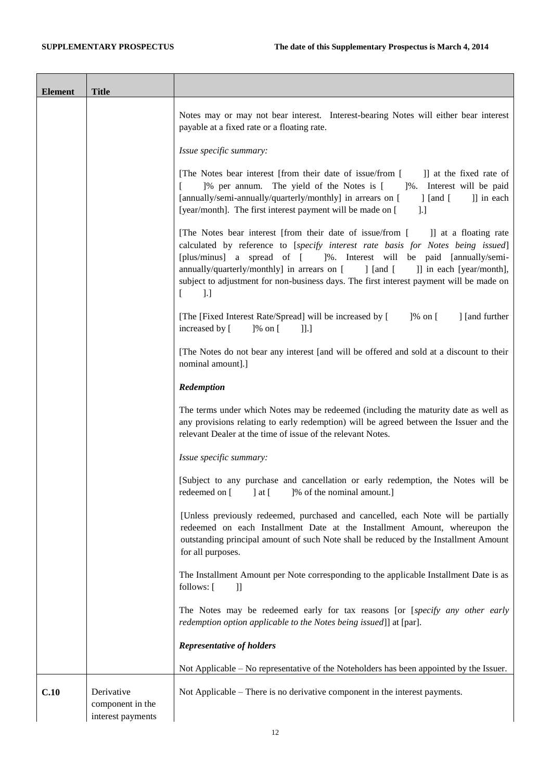| <b>Element</b> | <b>Title</b>                                        |                                                                                                                                                                                                                                                                                                                                                                                                                                                                                 |
|----------------|-----------------------------------------------------|---------------------------------------------------------------------------------------------------------------------------------------------------------------------------------------------------------------------------------------------------------------------------------------------------------------------------------------------------------------------------------------------------------------------------------------------------------------------------------|
|                |                                                     | Notes may or may not bear interest. Interest-bearing Notes will either bear interest<br>payable at a fixed rate or a floating rate.                                                                                                                                                                                                                                                                                                                                             |
|                |                                                     | Issue specific summary:                                                                                                                                                                                                                                                                                                                                                                                                                                                         |
|                |                                                     | [The Notes bear interest [from their date of issue/from [<br>I at the fixed rate of<br>]% per annum. The yield of the Notes is [<br>1%. Interest will be paid<br>[annually/semi-annually/quarterly/monthly] in arrears on [<br>]] in each<br>] [and [<br>[year/month]. The first interest payment will be made on [<br>].]                                                                                                                                                      |
|                |                                                     | [The Notes bear interest [from their date of issue/from [<br>]] at a floating rate<br>calculated by reference to [specify interest rate basis for Notes being issued]<br>[plus/minus] a spread of [ ]%. Interest will be paid [annually/semi-<br>annually/quarterly/monthly] in arrears on [<br>$\int$ [and [<br>]] in each [year/month],<br>subject to adjustment for non-business days. The first interest payment will be made on<br>$\lbrack . \rbrack$<br>$\left[ \right]$ |
|                |                                                     | [The [Fixed Interest Rate/Spread] will be increased by [<br>]% on [<br>] [and further<br>$]$ % on [<br>increased by [<br>]].]                                                                                                                                                                                                                                                                                                                                                   |
|                |                                                     | [The Notes do not bear any interest [and will be offered and sold at a discount to their<br>nominal amount].]                                                                                                                                                                                                                                                                                                                                                                   |
|                |                                                     | Redemption                                                                                                                                                                                                                                                                                                                                                                                                                                                                      |
|                |                                                     | The terms under which Notes may be redeemed (including the maturity date as well as<br>any provisions relating to early redemption) will be agreed between the Issuer and the<br>relevant Dealer at the time of issue of the relevant Notes.                                                                                                                                                                                                                                    |
|                |                                                     | Issue specific summary:                                                                                                                                                                                                                                                                                                                                                                                                                                                         |
|                |                                                     | [Subject to any purchase and cancellation or early redemption, the Notes will be<br>redeemed on [<br>[% of the nominal amount.]<br>$\vert$ at $\vert$                                                                                                                                                                                                                                                                                                                           |
|                |                                                     | [Unless previously redeemed, purchased and cancelled, each Note will be partially<br>redeemed on each Installment Date at the Installment Amount, whereupon the<br>outstanding principal amount of such Note shall be reduced by the Installment Amount<br>for all purposes.                                                                                                                                                                                                    |
|                |                                                     | The Installment Amount per Note corresponding to the applicable Installment Date is as<br>follows: [<br>$\mathbf{ll}$                                                                                                                                                                                                                                                                                                                                                           |
|                |                                                     | The Notes may be redeemed early for tax reasons [or [specify any other early<br>redemption option applicable to the Notes being issued]] at [par].                                                                                                                                                                                                                                                                                                                              |
|                |                                                     | <b>Representative of holders</b>                                                                                                                                                                                                                                                                                                                                                                                                                                                |
|                |                                                     | Not Applicable - No representative of the Noteholders has been appointed by the Issuer.                                                                                                                                                                                                                                                                                                                                                                                         |
| C.10           | Derivative<br>component in the<br>interest payments | Not Applicable – There is no derivative component in the interest payments.                                                                                                                                                                                                                                                                                                                                                                                                     |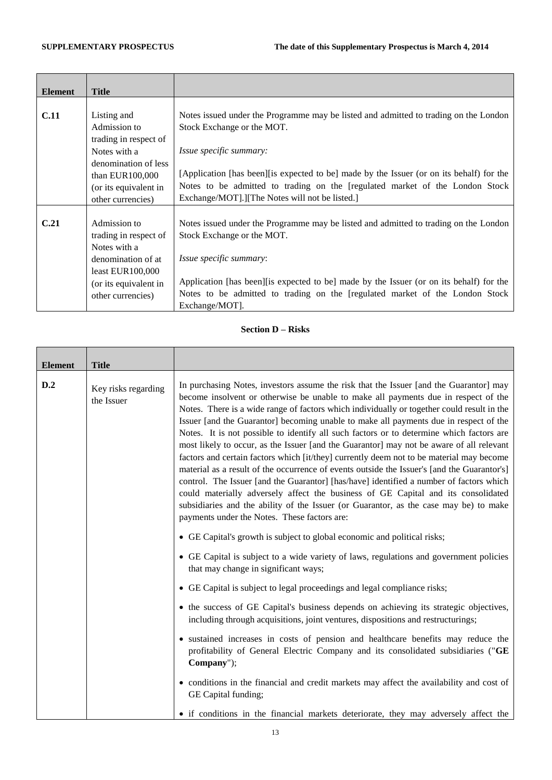ř.

| <b>Element</b> | <b>Title</b>          |                                                                                           |
|----------------|-----------------------|-------------------------------------------------------------------------------------------|
|                |                       |                                                                                           |
| <b>C.11</b>    | Listing and           | Notes issued under the Programme may be listed and admitted to trading on the London      |
|                | Admission to          | Stock Exchange or the MOT.                                                                |
|                | trading in respect of |                                                                                           |
|                | Notes with a          | <i>Issue specific summary:</i>                                                            |
|                | denomination of less  |                                                                                           |
|                | than EUR100,000       | [Application [has been] [is expected to be] made by the Issuer (or on its behalf) for the |
|                | (or its equivalent in | Notes to be admitted to trading on the [regulated market of the London Stock              |
|                | other currencies)     | Exchange/MOT].][The Notes will not be listed.]                                            |
|                |                       |                                                                                           |
| C.21           | Admission to          | Notes issued under the Programme may be listed and admitted to trading on the London      |
|                | trading in respect of | Stock Exchange or the MOT.                                                                |
|                | Notes with a          |                                                                                           |
|                | denomination of at    | Issue specific summary:                                                                   |
|                | least EUR100,000      |                                                                                           |
|                | (or its equivalent in | Application [has been][is expected to be] made by the Issuer (or on its behalf) for the   |
|                | other currencies)     | Notes to be admitted to trading on the [regulated market of the London Stock              |
|                |                       | Exchange/MOT].                                                                            |

# **Section D – Risks**

| <b>Element</b><br>D.2 | <b>Title</b><br>Key risks regarding<br>the Issuer | In purchasing Notes, investors assume the risk that the Issuer [and the Guarantor] may<br>become insolvent or otherwise be unable to make all payments due in respect of the<br>Notes. There is a wide range of factors which individually or together could result in the<br>Issuer [and the Guarantor] becoming unable to make all payments due in respect of the<br>Notes. It is not possible to identify all such factors or to determine which factors are<br>most likely to occur, as the Issuer [and the Guarantor] may not be aware of all relevant |
|-----------------------|---------------------------------------------------|-------------------------------------------------------------------------------------------------------------------------------------------------------------------------------------------------------------------------------------------------------------------------------------------------------------------------------------------------------------------------------------------------------------------------------------------------------------------------------------------------------------------------------------------------------------|
|                       |                                                   | factors and certain factors which [it/they] currently deem not to be material may become<br>material as a result of the occurrence of events outside the Issuer's [and the Guarantor's]<br>control. The Issuer [and the Guarantor] [has/have] identified a number of factors which<br>could materially adversely affect the business of GE Capital and its consolidated<br>subsidiaries and the ability of the Issuer (or Guarantor, as the case may be) to make<br>payments under the Notes. These factors are:                                            |
|                       |                                                   | • GE Capital's growth is subject to global economic and political risks;                                                                                                                                                                                                                                                                                                                                                                                                                                                                                    |
|                       |                                                   | • GE Capital is subject to a wide variety of laws, regulations and government policies<br>that may change in significant ways;                                                                                                                                                                                                                                                                                                                                                                                                                              |
|                       |                                                   | • GE Capital is subject to legal proceedings and legal compliance risks;                                                                                                                                                                                                                                                                                                                                                                                                                                                                                    |
|                       |                                                   | • the success of GE Capital's business depends on achieving its strategic objectives,<br>including through acquisitions, joint ventures, dispositions and restructurings;                                                                                                                                                                                                                                                                                                                                                                                   |
|                       |                                                   | • sustained increases in costs of pension and healthcare benefits may reduce the<br>profitability of General Electric Company and its consolidated subsidiaries ("GE<br>Company");                                                                                                                                                                                                                                                                                                                                                                          |
|                       |                                                   | • conditions in the financial and credit markets may affect the availability and cost of<br>GE Capital funding;                                                                                                                                                                                                                                                                                                                                                                                                                                             |
|                       |                                                   | • if conditions in the financial markets deteriorate, they may adversely affect the                                                                                                                                                                                                                                                                                                                                                                                                                                                                         |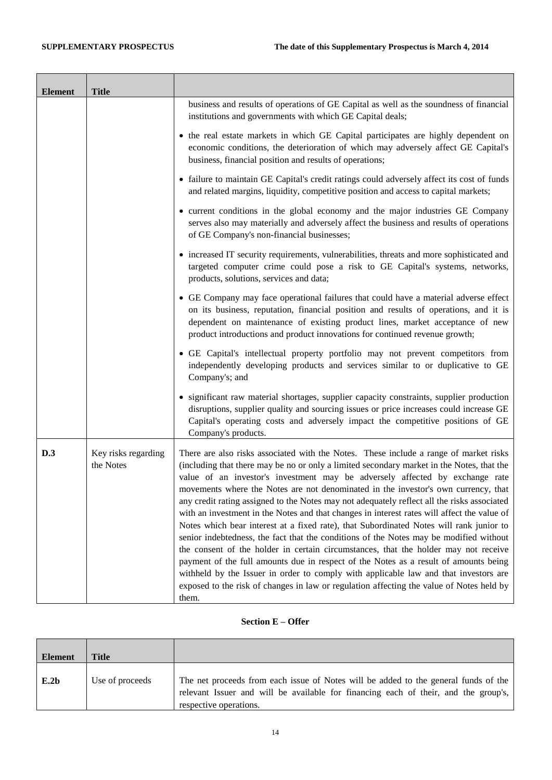$\blacksquare$ 

۳

| <b>Element</b> | <b>Title</b>                     |                                                                                                                                                                                                                                                                                                                                                                                                                                                                                                                                                                                                                                                                                                                                                                                                                                                                                                                                                                                                                                                                                                                         |
|----------------|----------------------------------|-------------------------------------------------------------------------------------------------------------------------------------------------------------------------------------------------------------------------------------------------------------------------------------------------------------------------------------------------------------------------------------------------------------------------------------------------------------------------------------------------------------------------------------------------------------------------------------------------------------------------------------------------------------------------------------------------------------------------------------------------------------------------------------------------------------------------------------------------------------------------------------------------------------------------------------------------------------------------------------------------------------------------------------------------------------------------------------------------------------------------|
|                |                                  | business and results of operations of GE Capital as well as the soundness of financial<br>institutions and governments with which GE Capital deals;                                                                                                                                                                                                                                                                                                                                                                                                                                                                                                                                                                                                                                                                                                                                                                                                                                                                                                                                                                     |
|                |                                  | • the real estate markets in which GE Capital participates are highly dependent on<br>economic conditions, the deterioration of which may adversely affect GE Capital's<br>business, financial position and results of operations;                                                                                                                                                                                                                                                                                                                                                                                                                                                                                                                                                                                                                                                                                                                                                                                                                                                                                      |
|                |                                  | • failure to maintain GE Capital's credit ratings could adversely affect its cost of funds<br>and related margins, liquidity, competitive position and access to capital markets;                                                                                                                                                                                                                                                                                                                                                                                                                                                                                                                                                                                                                                                                                                                                                                                                                                                                                                                                       |
|                |                                  | • current conditions in the global economy and the major industries GE Company<br>serves also may materially and adversely affect the business and results of operations<br>of GE Company's non-financial businesses;                                                                                                                                                                                                                                                                                                                                                                                                                                                                                                                                                                                                                                                                                                                                                                                                                                                                                                   |
|                |                                  | • increased IT security requirements, vulnerabilities, threats and more sophisticated and<br>targeted computer crime could pose a risk to GE Capital's systems, networks,<br>products, solutions, services and data;                                                                                                                                                                                                                                                                                                                                                                                                                                                                                                                                                                                                                                                                                                                                                                                                                                                                                                    |
|                |                                  | • GE Company may face operational failures that could have a material adverse effect<br>on its business, reputation, financial position and results of operations, and it is<br>dependent on maintenance of existing product lines, market acceptance of new<br>product introductions and product innovations for continued revenue growth;                                                                                                                                                                                                                                                                                                                                                                                                                                                                                                                                                                                                                                                                                                                                                                             |
|                |                                  | • GE Capital's intellectual property portfolio may not prevent competitors from<br>independently developing products and services similar to or duplicative to GE<br>Company's; and                                                                                                                                                                                                                                                                                                                                                                                                                                                                                                                                                                                                                                                                                                                                                                                                                                                                                                                                     |
|                |                                  | • significant raw material shortages, supplier capacity constraints, supplier production<br>disruptions, supplier quality and sourcing issues or price increases could increase GE<br>Capital's operating costs and adversely impact the competitive positions of GE<br>Company's products.                                                                                                                                                                                                                                                                                                                                                                                                                                                                                                                                                                                                                                                                                                                                                                                                                             |
| D.3            | Key risks regarding<br>the Notes | There are also risks associated with the Notes. These include a range of market risks<br>(including that there may be no or only a limited secondary market in the Notes, that the<br>value of an investor's investment may be adversely affected by exchange rate<br>movements where the Notes are not denominated in the investor's own currency, that<br>any credit rating assigned to the Notes may not adequately reflect all the risks associated<br>with an investment in the Notes and that changes in interest rates will affect the value of<br>Notes which bear interest at a fixed rate), that Subordinated Notes will rank junior to<br>senior indebtedness, the fact that the conditions of the Notes may be modified without<br>the consent of the holder in certain circumstances, that the holder may not receive<br>payment of the full amounts due in respect of the Notes as a result of amounts being<br>withheld by the Issuer in order to comply with applicable law and that investors are<br>exposed to the risk of changes in law or regulation affecting the value of Notes held by<br>them. |

### **Section E – Offer**

| <b>Element</b> | Title           |                                                                                                                                                                                                      |
|----------------|-----------------|------------------------------------------------------------------------------------------------------------------------------------------------------------------------------------------------------|
| E.2b           | Use of proceeds | The net proceeds from each issue of Notes will be added to the general funds of the<br>relevant Issuer and will be available for financing each of their, and the group's,<br>respective operations. |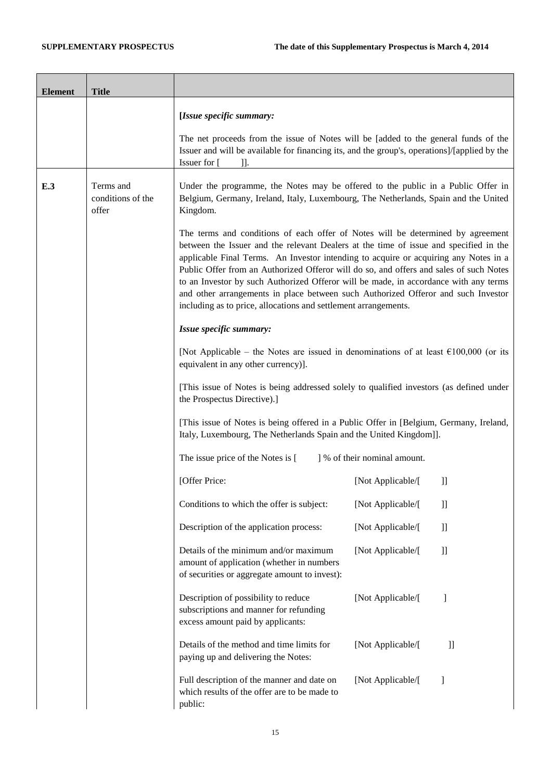$\overline{\phantom{a}}$ 

F

 $\overline{\phantom{a}}$ 

Ť.

| <b>Element</b> | <b>Title</b>                            |                                                                                                                                                                                                                                                                                                                                                                                                                                                                                                                                                                                                            |                              |                                                                                                                                                                                                                                                                                                                                                                                                                                                                                                                                                                                                                                                                                                                                                                                                                                           |
|----------------|-----------------------------------------|------------------------------------------------------------------------------------------------------------------------------------------------------------------------------------------------------------------------------------------------------------------------------------------------------------------------------------------------------------------------------------------------------------------------------------------------------------------------------------------------------------------------------------------------------------------------------------------------------------|------------------------------|-------------------------------------------------------------------------------------------------------------------------------------------------------------------------------------------------------------------------------------------------------------------------------------------------------------------------------------------------------------------------------------------------------------------------------------------------------------------------------------------------------------------------------------------------------------------------------------------------------------------------------------------------------------------------------------------------------------------------------------------------------------------------------------------------------------------------------------------|
|                |                                         | [Issue specific summary:                                                                                                                                                                                                                                                                                                                                                                                                                                                                                                                                                                                   |                              |                                                                                                                                                                                                                                                                                                                                                                                                                                                                                                                                                                                                                                                                                                                                                                                                                                           |
|                |                                         | The net proceeds from the issue of Notes will be [added to the general funds of the<br>Issuer and will be available for financing its, and the group's, operations]/[applied by the<br>Issuer for [<br>11.                                                                                                                                                                                                                                                                                                                                                                                                 |                              |                                                                                                                                                                                                                                                                                                                                                                                                                                                                                                                                                                                                                                                                                                                                                                                                                                           |
| E.3            | Terms and<br>conditions of the<br>offer | Under the programme, the Notes may be offered to the public in a Public Offer in<br>Belgium, Germany, Ireland, Italy, Luxembourg, The Netherlands, Spain and the United<br>Kingdom.                                                                                                                                                                                                                                                                                                                                                                                                                        |                              |                                                                                                                                                                                                                                                                                                                                                                                                                                                                                                                                                                                                                                                                                                                                                                                                                                           |
|                |                                         | The terms and conditions of each offer of Notes will be determined by agreement<br>between the Issuer and the relevant Dealers at the time of issue and specified in the<br>applicable Final Terms. An Investor intending to acquire or acquiring any Notes in a<br>Public Offer from an Authorized Offeror will do so, and offers and sales of such Notes<br>to an Investor by such Authorized Offeror will be made, in accordance with any terms<br>and other arrangements in place between such Authorized Offeror and such Investor<br>including as to price, allocations and settlement arrangements. |                              |                                                                                                                                                                                                                                                                                                                                                                                                                                                                                                                                                                                                                                                                                                                                                                                                                                           |
|                |                                         | Issue specific summary:                                                                                                                                                                                                                                                                                                                                                                                                                                                                                                                                                                                    |                              |                                                                                                                                                                                                                                                                                                                                                                                                                                                                                                                                                                                                                                                                                                                                                                                                                                           |
|                |                                         | [Not Applicable – the Notes are issued in denominations of at least $\epsilon$ 100,000 (or its<br>equivalent in any other currency)].                                                                                                                                                                                                                                                                                                                                                                                                                                                                      |                              |                                                                                                                                                                                                                                                                                                                                                                                                                                                                                                                                                                                                                                                                                                                                                                                                                                           |
|                |                                         | [This issue of Notes is being addressed solely to qualified investors (as defined under<br>the Prospectus Directive).]                                                                                                                                                                                                                                                                                                                                                                                                                                                                                     |                              |                                                                                                                                                                                                                                                                                                                                                                                                                                                                                                                                                                                                                                                                                                                                                                                                                                           |
|                |                                         | [This issue of Notes is being offered in a Public Offer in [Belgium, Germany, Ireland,<br>Italy, Luxembourg, The Netherlands Spain and the United Kingdom]].                                                                                                                                                                                                                                                                                                                                                                                                                                               |                              |                                                                                                                                                                                                                                                                                                                                                                                                                                                                                                                                                                                                                                                                                                                                                                                                                                           |
|                |                                         | The issue price of the Notes is [                                                                                                                                                                                                                                                                                                                                                                                                                                                                                                                                                                          | ] % of their nominal amount. |                                                                                                                                                                                                                                                                                                                                                                                                                                                                                                                                                                                                                                                                                                                                                                                                                                           |
|                |                                         | [Offer Price:                                                                                                                                                                                                                                                                                                                                                                                                                                                                                                                                                                                              | [Not Applicable/[            | $\mathbf{ll}$                                                                                                                                                                                                                                                                                                                                                                                                                                                                                                                                                                                                                                                                                                                                                                                                                             |
|                |                                         | Conditions to which the offer is subject:                                                                                                                                                                                                                                                                                                                                                                                                                                                                                                                                                                  | [Not Applicable/[            | $\mathbf{I}$                                                                                                                                                                                                                                                                                                                                                                                                                                                                                                                                                                                                                                                                                                                                                                                                                              |
|                |                                         | Description of the application process:                                                                                                                                                                                                                                                                                                                                                                                                                                                                                                                                                                    | [Not Applicable/[            | $\mathbf{ll}$                                                                                                                                                                                                                                                                                                                                                                                                                                                                                                                                                                                                                                                                                                                                                                                                                             |
|                |                                         | Details of the minimum and/or maximum<br>amount of application (whether in numbers<br>of securities or aggregate amount to invest):                                                                                                                                                                                                                                                                                                                                                                                                                                                                        | [Not Applicable/[            | $\mathbf{ll}$                                                                                                                                                                                                                                                                                                                                                                                                                                                                                                                                                                                                                                                                                                                                                                                                                             |
|                |                                         | Description of possibility to reduce<br>subscriptions and manner for refunding<br>excess amount paid by applicants:                                                                                                                                                                                                                                                                                                                                                                                                                                                                                        | [Not Applicable/[            | -1                                                                                                                                                                                                                                                                                                                                                                                                                                                                                                                                                                                                                                                                                                                                                                                                                                        |
|                |                                         | Details of the method and time limits for<br>paying up and delivering the Notes:                                                                                                                                                                                                                                                                                                                                                                                                                                                                                                                           | [Not Applicable/[            | $]]% \centering \includegraphics[width=1\textwidth]{images/TransY.pdf}% \caption{The first two different values of $y$ and $y$ (left) and $y$ (right) are the first two different values of $y$ (right) and $y$ (right). The first two different values of $y$ (right) and $y$ (right). The first two different values of $y$ (right). The first two different values of $y$ (right). The first two different values of $y$ (right). The second two different values of $y$ (right). The second two different values of $y$ (right). The second two different values of $y$ (right). The second two different values of $y$ (right). The second two different values of $y$ (right). The second two different values of $y$ (right). The second two different values of $y$ (right). The second two different values of $y$ (right). The$ |
|                |                                         | Full description of the manner and date on<br>which results of the offer are to be made to<br>public:                                                                                                                                                                                                                                                                                                                                                                                                                                                                                                      | [Not Applicable/[            | 1                                                                                                                                                                                                                                                                                                                                                                                                                                                                                                                                                                                                                                                                                                                                                                                                                                         |